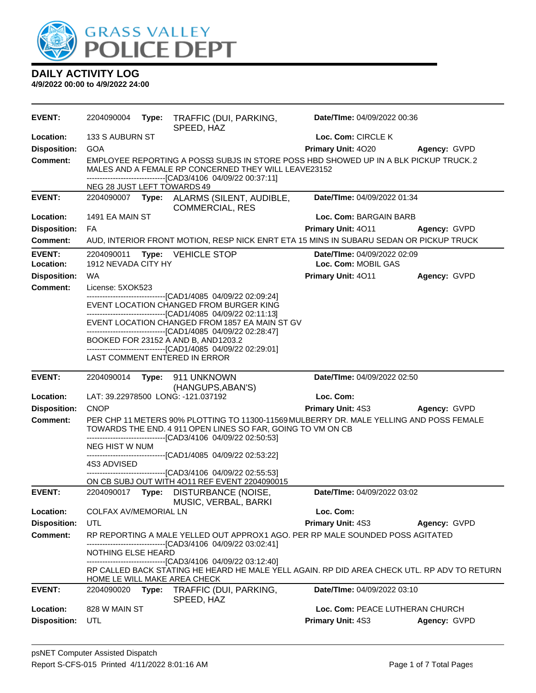

| EVENT:              | 2204090004                                                                                                                                                                                                  |       | Type: TRAFFIC (DUI, PARKING,<br>SPEED, HAZ                                                                                                                                     | Date/TIme: 04/09/2022 00:36     |              |
|---------------------|-------------------------------------------------------------------------------------------------------------------------------------------------------------------------------------------------------------|-------|--------------------------------------------------------------------------------------------------------------------------------------------------------------------------------|---------------------------------|--------------|
| Location:           | 133 S AUBURN ST                                                                                                                                                                                             |       |                                                                                                                                                                                | Loc. Com: CIRCLE K              |              |
| <b>Disposition:</b> | <b>GOA</b>                                                                                                                                                                                                  |       |                                                                                                                                                                                | Primary Unit: 4020              | Agency: GVPD |
| <b>Comment:</b>     | EMPLOYEE REPORTING A POSS3 SUBJS IN STORE POSS HBD SHOWED UP IN A BLK PICKUP TRUCK.2<br>MALES AND A FEMALE RP CONCERNED THEY WILL LEAVE23152<br>------------------------------[CAD3/4106 04/09/22 00:37:11] |       |                                                                                                                                                                                |                                 |              |
|                     | NEG 28 JUST LEFT TOWARDS 49                                                                                                                                                                                 |       |                                                                                                                                                                                |                                 |              |
| <b>EVENT:</b>       |                                                                                                                                                                                                             |       | 2204090007 Type: ALARMS (SILENT, AUDIBLE,<br><b>COMMERCIAL, RES</b>                                                                                                            | Date/TIme: 04/09/2022 01:34     |              |
| Location:           | 1491 EA MAIN ST                                                                                                                                                                                             |       |                                                                                                                                                                                | Loc. Com: BARGAIN BARB          |              |
| <b>Disposition:</b> | FA                                                                                                                                                                                                          |       |                                                                                                                                                                                | Primary Unit: 4011              | Agency: GVPD |
| <b>Comment:</b>     |                                                                                                                                                                                                             |       | AUD, INTERIOR FRONT MOTION, RESP NICK ENRT ETA 15 MINS IN SUBARU SEDAN OR PICKUP TRUCK                                                                                         |                                 |              |
| <b>EVENT:</b>       | 2204090011                                                                                                                                                                                                  |       | Type: VEHICLE STOP                                                                                                                                                             | Date/TIme: 04/09/2022 02:09     |              |
| Location:           | 1912 NEVADA CITY HY                                                                                                                                                                                         |       |                                                                                                                                                                                | Loc. Com: MOBIL GAS             |              |
| <b>Disposition:</b> | <b>WA</b>                                                                                                                                                                                                   |       |                                                                                                                                                                                | Primary Unit: 4011              | Agency: GVPD |
| <b>Comment:</b>     | License: 5XOK523                                                                                                                                                                                            |       |                                                                                                                                                                                |                                 |              |
|                     |                                                                                                                                                                                                             |       | --------------------------------[CAD1/4085 04/09/22 02:09:24]<br>EVENT LOCATION CHANGED FROM BURGER KING                                                                       |                                 |              |
|                     |                                                                                                                                                                                                             |       | -------------------------------[CAD1/4085 04/09/22 02:11:13]<br>EVENT LOCATION CHANGED FROM 1857 EA MAIN ST GV<br>-------------------------------[CAD1/4085 04/09/22 02:28:47] |                                 |              |
|                     |                                                                                                                                                                                                             |       | BOOKED FOR 23152 A AND B, AND1203.2                                                                                                                                            |                                 |              |
|                     |                                                                                                                                                                                                             |       | -------------------------------[CAD1/4085 04/09/22 02:29:01]<br>LAST COMMENT ENTERED IN ERROR                                                                                  |                                 |              |
|                     |                                                                                                                                                                                                             |       |                                                                                                                                                                                |                                 |              |
|                     |                                                                                                                                                                                                             |       |                                                                                                                                                                                |                                 |              |
| <b>EVENT:</b>       | 2204090014                                                                                                                                                                                                  |       | Type: 911 UNKNOWN                                                                                                                                                              | Date/TIme: 04/09/2022 02:50     |              |
| Location:           |                                                                                                                                                                                                             |       | (HANGUPS, ABAN'S)<br>LAT: 39.22978500 LONG: -121.037192                                                                                                                        | Loc. Com:                       |              |
| <b>Disposition:</b> | <b>CNOP</b>                                                                                                                                                                                                 |       |                                                                                                                                                                                | <b>Primary Unit: 4S3</b>        | Agency: GVPD |
| <b>Comment:</b>     |                                                                                                                                                                                                             |       | PER CHP 11 METERS 90% PLOTTING TO 11300-11569 MULBERRY DR. MALE YELLING AND POSS FEMALE<br>TOWARDS THE END. 4 911 OPEN LINES SO FAR, GOING TO VM ON CB                         |                                 |              |
|                     | NEG HIST W NUM                                                                                                                                                                                              |       | -------------------------------[CAD3/4106 04/09/22 02:50:53]                                                                                                                   |                                 |              |
|                     | 4S3 ADVISED                                                                                                                                                                                                 |       | -------------------------------[CAD1/4085 04/09/22 02:53:22]                                                                                                                   |                                 |              |
|                     |                                                                                                                                                                                                             |       | -------------------------------[CAD3/4106 04/09/22 02:55:53]<br>ON CB SUBJ OUT WITH 4O11 REF EVENT 2204090015                                                                  |                                 |              |
| <b>EVENT:</b>       | 2204090017 Type:                                                                                                                                                                                            |       | DISTURBANCE (NOISE,                                                                                                                                                            | Date/TIme: 04/09/2022 03:02     |              |
| Location:           | COLFAX AV/MEMORIAL LN                                                                                                                                                                                       |       | MUSIC, VERBAL, BARKI                                                                                                                                                           | Loc. Com:                       |              |
| <b>Disposition:</b> | UTL                                                                                                                                                                                                         |       |                                                                                                                                                                                | Primary Unit: 4S3               | Agency: GVPD |
| <b>Comment:</b>     |                                                                                                                                                                                                             |       | RP REPORTING A MALE YELLED OUT APPROX1 AGO. PER RP MALE SOUNDED POSS AGITATED                                                                                                  |                                 |              |
|                     | NOTHING ELSE HEARD                                                                                                                                                                                          |       | ------------------------[CAD3/4106 04/09/22 03:02:41]                                                                                                                          |                                 |              |
|                     |                                                                                                                                                                                                             |       | -------------------------------[CAD3/4106 04/09/22 03:12:40]<br>RP CALLED BACK STATING HE HEARD HE MALE YELL AGAIN. RP DID AREA CHECK UTL. RP ADV TO RETURN                    |                                 |              |
| <b>EVENT:</b>       | 2204090020                                                                                                                                                                                                  | Type: | HOME LE WILL MAKE AREA CHECK<br>TRAFFIC (DUI, PARKING,                                                                                                                         | Date/TIme: 04/09/2022 03:10     |              |
| Location:           | 828 W MAIN ST                                                                                                                                                                                               |       | SPEED, HAZ                                                                                                                                                                     | Loc. Com: PEACE LUTHERAN CHURCH |              |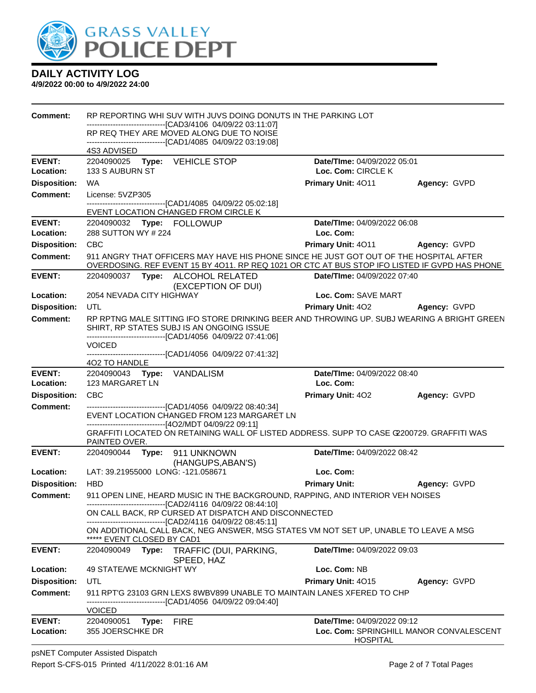

| <b>Comment:</b>     | RP REPORTING WHI SUV WITH JUVS DOING DONUTS IN THE PARKING LOT                                                                                                          |                                                                                                                                                                                         |                                         |              |  |
|---------------------|-------------------------------------------------------------------------------------------------------------------------------------------------------------------------|-----------------------------------------------------------------------------------------------------------------------------------------------------------------------------------------|-----------------------------------------|--------------|--|
|                     | ------------------------------[CAD3/4106 04/09/22 03:11:07]<br>RP REQ THEY ARE MOVED ALONG DUE TO NOISE<br>-------------------------------[CAD1/4085 04/09/22 03:19:08] |                                                                                                                                                                                         |                                         |              |  |
|                     | 4S3 ADVISED                                                                                                                                                             |                                                                                                                                                                                         |                                         |              |  |
| <b>EVENT:</b>       | 2204090025 Type: VEHICLE STOP                                                                                                                                           |                                                                                                                                                                                         | <b>Date/TIme: 04/09/2022 05:01</b>      |              |  |
| Location:           | 133 S AUBURN ST                                                                                                                                                         |                                                                                                                                                                                         | Loc. Com: CIRCLE K                      |              |  |
| <b>Disposition:</b> | <b>WA</b>                                                                                                                                                               |                                                                                                                                                                                         | Primary Unit: 4011                      | Agency: GVPD |  |
| Comment:            | License: 5VZP305                                                                                                                                                        | -------------------------------[CAD1/4085 04/09/22 05:02:18]                                                                                                                            |                                         |              |  |
|                     | EVENT LOCATION CHANGED FROM CIRCLE K                                                                                                                                    |                                                                                                                                                                                         |                                         |              |  |
| <b>EVENT:</b>       | 2204090032 Type: FOLLOWUP                                                                                                                                               |                                                                                                                                                                                         | Date/TIme: 04/09/2022 06:08             |              |  |
| Location:           | 288 SUTTON WY # 224                                                                                                                                                     |                                                                                                                                                                                         | Loc. Com:                               |              |  |
| <b>Disposition:</b> | <b>CBC</b>                                                                                                                                                              |                                                                                                                                                                                         | <b>Primary Unit: 4011</b>               | Agency: GVPD |  |
| <b>Comment:</b>     |                                                                                                                                                                         | 911 ANGRY THAT OFFICERS MAY HAVE HIS PHONE SINCE HE JUST GOT OUT OF THE HOSPITAL AFTER<br>OVERDOSING. REF EVENT 15 BY 4011. RP REQ 1021 OR CTC AT BUS STOP IFO LISTED IF GVPD HAS PHONE |                                         |              |  |
| <b>EVENT:</b>       | 2204090037 Type: ALCOHOL RELATED                                                                                                                                        | (EXCEPTION OF DUI)                                                                                                                                                                      | Date/TIme: 04/09/2022 07:40             |              |  |
| Location:           | 2054 NEVADA CITY HIGHWAY                                                                                                                                                |                                                                                                                                                                                         | Loc. Com: SAVE MART                     |              |  |
| <b>Disposition:</b> | UTL                                                                                                                                                                     |                                                                                                                                                                                         | Primary Unit: 402 Agency: GVPD          |              |  |
| Comment:            |                                                                                                                                                                         | RP RPTNG MALE SITTING IFO STORE DRINKING BEER AND THROWING UP. SUBJ WEARING A BRIGHT GREEN<br>SHIRT, RP STATES SUBJ IS AN ONGOING ISSUE                                                 |                                         |              |  |
|                     | -------------------------------[CAD1/4056 04/09/22 07:41:06]                                                                                                            |                                                                                                                                                                                         |                                         |              |  |
|                     | <b>VOICED</b>                                                                                                                                                           |                                                                                                                                                                                         |                                         |              |  |
|                     | 402 TO HANDLE                                                                                                                                                           |                                                                                                                                                                                         |                                         |              |  |
| <b>EVENT:</b>       | 2204090043 Type: VANDALISM                                                                                                                                              |                                                                                                                                                                                         | Date/TIme: 04/09/2022 08:40             |              |  |
| Location:           | Loc. Com:<br>123 MARGARET LN                                                                                                                                            |                                                                                                                                                                                         |                                         |              |  |
| <b>Disposition:</b> | <b>CBC</b>                                                                                                                                                              |                                                                                                                                                                                         | <b>Primary Unit: 402</b>                | Agency: GVPD |  |
| <b>Comment:</b>     |                                                                                                                                                                         | ------------------------[CAD1/4056 04/09/22 08:40:34]                                                                                                                                   |                                         |              |  |
|                     |                                                                                                                                                                         | EVENT LOCATION CHANGED FROM 123 MARGARET LN                                                                                                                                             |                                         |              |  |
|                     | ---------------------------------[4O2/MDT 04/09/22 09:11]                                                                                                               | GRAFFITI LOCATED ON RETAINING WALL OF LISTED ADDRESS. SUPP TO CASE C200729. GRAFFITI WAS                                                                                                |                                         |              |  |
|                     | PAINTED OVER.                                                                                                                                                           |                                                                                                                                                                                         |                                         |              |  |
| <b>EVENT:</b>       | 2204090044 Type: 911 UNKNOWN                                                                                                                                            |                                                                                                                                                                                         | Date/TIme: 04/09/2022 08:42             |              |  |
|                     |                                                                                                                                                                         | (HANGUPS, ABAN'S)                                                                                                                                                                       |                                         |              |  |
| Location:           | LAT: 39.21955000 LONG: -121.058671                                                                                                                                      |                                                                                                                                                                                         | Loc. Com:                               |              |  |
| <b>Disposition:</b> | <b>HBD</b>                                                                                                                                                              |                                                                                                                                                                                         | <b>Primary Unit:</b>                    | Agency: GVPD |  |
| <b>Comment:</b>     | 911 OPEN LINE, HEARD MUSIC IN THE BACKGROUND, RAPPING, AND INTERIOR VEH NOISES<br>--------------------------------[CAD2/4116 04/09/22 08:44:10]                         |                                                                                                                                                                                         |                                         |              |  |
|                     | ON CALL BACK, RP CURSED AT DISPATCH AND DISCONNECTED<br>--------------------------------[CAD2/4116 04/09/22 08:45:11]                                                   |                                                                                                                                                                                         |                                         |              |  |
|                     | ***** EVENT CLOSED BY CAD1                                                                                                                                              | ON ADDITIONAL CALL BACK, NEG ANSWER, MSG STATES VM NOT SET UP, UNABLE TO LEAVE A MSG                                                                                                    |                                         |              |  |
| <b>EVENT:</b>       | TRAFFIC (DUI, PARKING,<br>Date/TIme: 04/09/2022 09:03<br>2204090049<br>Type:<br>SPEED, HAZ                                                                              |                                                                                                                                                                                         |                                         |              |  |
| Location:           | 49 STATE/WE MCKNIGHT WY                                                                                                                                                 |                                                                                                                                                                                         | Loc. Com: NB                            |              |  |
| <b>Disposition:</b> | UTL                                                                                                                                                                     |                                                                                                                                                                                         | Primary Unit: 4015                      | Agency: GVPD |  |
| <b>Comment:</b>     |                                                                                                                                                                         | 911 RPT'G 23103 GRN LEXS 8WBV899 UNABLE TO MAINTAIN LANES XFERED TO CHP                                                                                                                 |                                         |              |  |
|                     | <b>VOICED</b>                                                                                                                                                           | -----------------------[CAD1/4056_04/09/22_09:04:40]                                                                                                                                    |                                         |              |  |
| <b>EVENT:</b>       | 2204090051<br>Type:                                                                                                                                                     | <b>FIRE</b>                                                                                                                                                                             | Date/TIme: 04/09/2022 09:12             |              |  |
| Location:           | 355 JOERSCHKE DR                                                                                                                                                        |                                                                                                                                                                                         | Loc. Com: SPRINGHILL MANOR CONVALESCENT |              |  |
|                     |                                                                                                                                                                         |                                                                                                                                                                                         | <b>HOSPITAL</b>                         |              |  |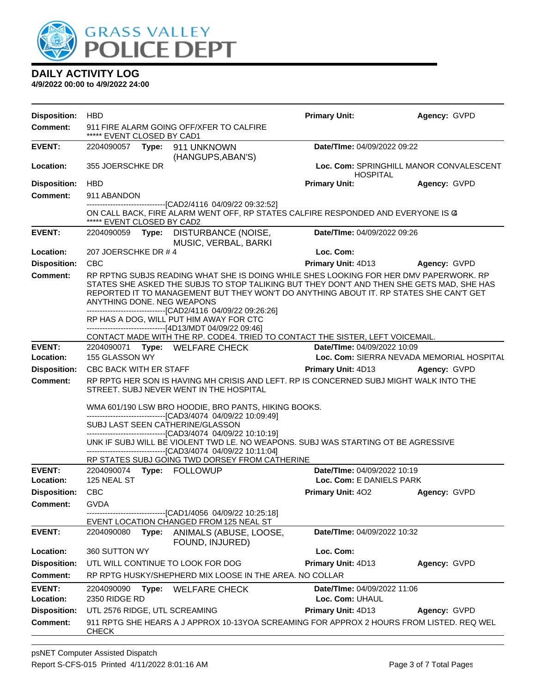

| <b>Disposition:</b>        | <b>HBD</b>                                                                                                                                                                                                                                                                                                                                                                                                                                                                  | <b>Primary Unit:</b>                                    | Agency: GVPD                              |  |  |
|----------------------------|-----------------------------------------------------------------------------------------------------------------------------------------------------------------------------------------------------------------------------------------------------------------------------------------------------------------------------------------------------------------------------------------------------------------------------------------------------------------------------|---------------------------------------------------------|-------------------------------------------|--|--|
| <b>Comment:</b>            | 911 FIRE ALARM GOING OFF/XFER TO CALFIRE<br>***** EVENT CLOSED BY CAD1                                                                                                                                                                                                                                                                                                                                                                                                      |                                                         |                                           |  |  |
| <b>EVENT:</b>              | Date/TIme: 04/09/2022 09:22<br>2204090057 Type: 911 UNKNOWN<br>(HANGUPS, ABAN'S)                                                                                                                                                                                                                                                                                                                                                                                            |                                                         |                                           |  |  |
| Location:                  | 355 JOERSCHKE DR                                                                                                                                                                                                                                                                                                                                                                                                                                                            | <b>HOSPITAL</b>                                         | Loc. Com: SPRINGHILL MANOR CONVALESCENT   |  |  |
| <b>Disposition:</b>        | <b>HBD</b>                                                                                                                                                                                                                                                                                                                                                                                                                                                                  | <b>Primary Unit:</b>                                    | Agency: GVPD                              |  |  |
| Comment:                   | 911 ABANDON                                                                                                                                                                                                                                                                                                                                                                                                                                                                 |                                                         |                                           |  |  |
|                            | ------------------------------[CAD2/4116_04/09/22_09:32:52]<br>ON CALL BACK, FIRE ALARM WENT OFF, RP STATES CALFIRE RESPONDED AND EVERYONE IS @<br>***** EVENT CLOSED BY CAD2                                                                                                                                                                                                                                                                                               |                                                         |                                           |  |  |
| <b>EVENT:</b>              | 2204090059 Type: DISTURBANCE (NOISE,<br>MUSIC, VERBAL, BARKI                                                                                                                                                                                                                                                                                                                                                                                                                | Date/TIme: 04/09/2022 09:26                             |                                           |  |  |
| Location:                  | 207 JOERSCHKE DR #4                                                                                                                                                                                                                                                                                                                                                                                                                                                         | Loc. Com:                                               |                                           |  |  |
| <b>Disposition:</b>        | <b>CBC</b>                                                                                                                                                                                                                                                                                                                                                                                                                                                                  | Primary Unit: 4D13                                      | Agency: GVPD                              |  |  |
| <b>Comment:</b>            | RP RPTNG SUBJS READING WHAT SHE IS DOING WHILE SHES LOOKING FOR HER DMV PAPERWORK. RP<br>STATES SHE ASKED THE SUBJS TO STOP TALIKING BUT THEY DON'T AND THEN SHE GETS MAD, SHE HAS<br>REPORTED IT TO MANAGEMENT BUT THEY WON'T DO ANYTHING ABOUT IT. RP STATES SHE CAN'T GET<br>ANYTHING DONE. NEG WEAPONS<br>--------------------------[CAD2/4116_04/09/22_09:26:26]<br>RP HAS A DOG, WILL PUT HIM AWAY FOR CTC<br>------------------------------[4D13/MDT 04/09/22 09:46] |                                                         |                                           |  |  |
|                            | CONTACT MADE WITH THE RP. CODE4. TRIED TO CONTACT THE SISTER, LEFT VOICEMAIL.                                                                                                                                                                                                                                                                                                                                                                                               |                                                         |                                           |  |  |
| <b>EVENT:</b>              | 2204090071 Type: WELFARE CHECK                                                                                                                                                                                                                                                                                                                                                                                                                                              | Date/TIme: 04/09/2022 10:09                             |                                           |  |  |
| Location:                  | 155 GLASSON WY                                                                                                                                                                                                                                                                                                                                                                                                                                                              |                                                         | Loc. Com: SIERRA NEVADA MEMORIAL HOSPITAL |  |  |
| <b>Disposition:</b>        | <b>CBC BACK WITH ER STAFF</b>                                                                                                                                                                                                                                                                                                                                                                                                                                               | Primary Unit: 4D13 Agency: GVPD                         |                                           |  |  |
| <b>Comment:</b>            | RP RPTG HER SON IS HAVING MH CRISIS AND LEFT. RP IS CONCERNED SUBJ MIGHT WALK INTO THE<br>STREET. SUBJ NEVER WENT IN THE HOSPITAL                                                                                                                                                                                                                                                                                                                                           |                                                         |                                           |  |  |
|                            | WMA 601/190 LSW BRO HOODIE, BRO PANTS, HIKING BOOKS.<br>-------------------------------[CAD3/4074 04/09/22 10:09:49]<br>SUBJ LAST SEEN CATHERINE/GLASSON<br>------------------------------[CAD3/4074_04/09/22 10:10:19]<br>UNK IF SUBJ WILL BE VIOLENT TWD LE. NO WEAPONS. SUBJ WAS STARTING OT BE AGRESSIVE<br>-------------------------------[CAD3/4074 04/09/22 10:11:04]<br>RP STATES SUBJ GOING TWD DORSEY FROM CATHERINE                                              |                                                         |                                           |  |  |
| <b>EVENT:</b><br>Location: | 125 NEAL ST                                                                                                                                                                                                                                                                                                                                                                                                                                                                 | Date/TIme: 04/09/2022 10:19<br>Loc. Com: E DANIELS PARK |                                           |  |  |
| <b>Disposition:</b>        | <b>CBC</b>                                                                                                                                                                                                                                                                                                                                                                                                                                                                  | <b>Primary Unit: 402</b>                                | Agency: GVPD                              |  |  |
| <b>Comment:</b>            | GVDA<br>---------------[CAD1/4056 04/09/22 10:25:18]<br>EVENT LOCATION CHANGED FROM 125 NEAL ST                                                                                                                                                                                                                                                                                                                                                                             |                                                         |                                           |  |  |
| <b>EVENT:</b>              | ANIMALS (ABUSE, LOOSE,<br>2204090080<br>Type:<br>FOUND, INJURED)                                                                                                                                                                                                                                                                                                                                                                                                            |                                                         | Date/TIme: 04/09/2022 10:32               |  |  |
| Location:                  | 360 SUTTON WY                                                                                                                                                                                                                                                                                                                                                                                                                                                               | Loc. Com:                                               |                                           |  |  |
| <b>Disposition:</b>        | UTL WILL CONTINUE TO LOOK FOR DOG                                                                                                                                                                                                                                                                                                                                                                                                                                           | Primary Unit: 4D13                                      | Agency: GVPD                              |  |  |
| <b>Comment:</b>            | RP RPTG HUSKY/SHEPHERD MIX LOOSE IN THE AREA. NO COLLAR                                                                                                                                                                                                                                                                                                                                                                                                                     |                                                         |                                           |  |  |
| <b>EVENT:</b><br>Location: | Date/TIme: 04/09/2022 11:06<br>2204090090<br>Type:<br><b>WELFARE CHECK</b><br>2350 RIDGE RD<br>Loc. Com: UHAUL                                                                                                                                                                                                                                                                                                                                                              |                                                         |                                           |  |  |
| <b>Disposition:</b>        | UTL 2576 RIDGE, UTL SCREAMING                                                                                                                                                                                                                                                                                                                                                                                                                                               | Primary Unit: 4D13                                      | Agency: GVPD                              |  |  |
| <b>Comment:</b>            | 911 RPTG SHE HEARS A J APPROX 10-13YOA SCREAMING FOR APPROX 2 HOURS FROM LISTED. REQ WEL<br><b>CHECK</b>                                                                                                                                                                                                                                                                                                                                                                    |                                                         |                                           |  |  |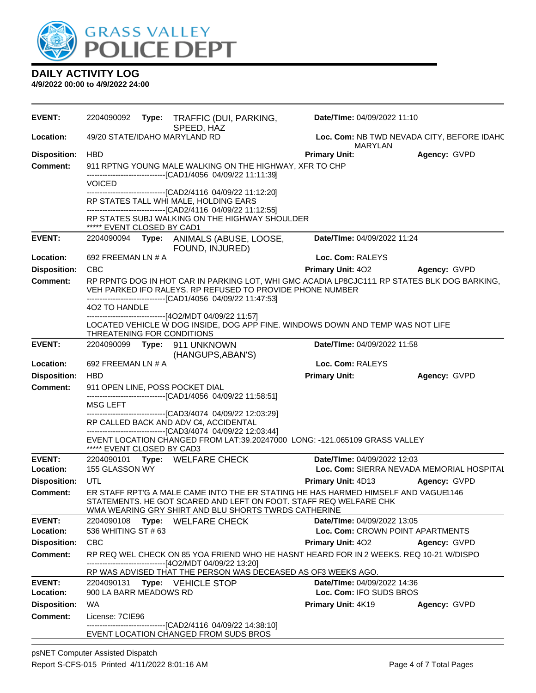

| <b>EVENT:</b>              | 2204090092<br>Type: TRAFFIC (DUI, PARKING,<br>SPEED, HAZ                                                          | Date/TIme: 04/09/2022 11:10                                                                  |  |  |  |
|----------------------------|-------------------------------------------------------------------------------------------------------------------|----------------------------------------------------------------------------------------------|--|--|--|
| Location:                  | 49/20 STATE/IDAHO MARYLAND RD                                                                                     | Loc. Com: NB TWD NEVADA CITY, BEFORE IDAHC<br><b>MARYLAN</b>                                 |  |  |  |
| <b>Disposition:</b>        | <b>HBD</b>                                                                                                        | <b>Primary Unit:</b><br>Agency: GVPD                                                         |  |  |  |
| <b>Comment:</b>            | 911 RPTNG YOUNG MALE WALKING ON THE HIGHWAY, XFR TO CHP                                                           |                                                                                              |  |  |  |
|                            | --------------------------------[CAD1/4056 04/09/22 11:11:39]<br><b>VOICED</b>                                    |                                                                                              |  |  |  |
|                            | ---------------------------------[CAD2/4116 04/09/22 11:12:20]                                                    |                                                                                              |  |  |  |
|                            | RP STATES TALL WHI MALE, HOLDING EARS                                                                             |                                                                                              |  |  |  |
|                            | ----------------------------------[CAD2/4116 04/09/22 11:12:55]<br>RP STATES SUBJ WALKING ON THE HIGHWAY SHOULDER |                                                                                              |  |  |  |
|                            | ***** EVENT CLOSED BY CAD1                                                                                        |                                                                                              |  |  |  |
| <b>EVENT:</b>              | 2204090094 Type: ANIMALS (ABUSE, LOOSE,                                                                           | Date/TIme: 04/09/2022 11:24                                                                  |  |  |  |
| Location:                  | FOUND, INJURED)<br>692 FREEMAN LN # A                                                                             | Loc. Com: RALEYS                                                                             |  |  |  |
| <b>Disposition:</b>        | <b>CBC</b>                                                                                                        | <b>Primary Unit: 402</b><br>Agency: GVPD                                                     |  |  |  |
| <b>Comment:</b>            |                                                                                                                   | RP RPNTG DOG IN HOT CAR IN PARKING LOT, WHI GMC ACADIA LP8CJC111. RP STATES BLK DOG BARKING, |  |  |  |
|                            | VEH PARKED IFO RALEYS. RP REFUSED TO PROVIDE PHONE NUMBER                                                         |                                                                                              |  |  |  |
|                            | -------------------------------[CAD1/4056 04/09/22 11:47:53]<br>402 TO HANDLE                                     |                                                                                              |  |  |  |
|                            | --------------------------------[4O2/MDT 04/09/22 11:57]                                                          |                                                                                              |  |  |  |
|                            | LOCATED VEHICLE W DOG INSIDE, DOG APP FINE. WINDOWS DOWN AND TEMP WAS NOT LIFE                                    |                                                                                              |  |  |  |
| <b>EVENT:</b>              | THREATENING FOR CONDITIONS<br>2204090099 Type: 911 UNKNOWN                                                        | Date/TIme: 04/09/2022 11:58                                                                  |  |  |  |
|                            | (HANGUPS, ABAN'S)                                                                                                 |                                                                                              |  |  |  |
| Location:                  | 692 FREEMAN LN # A                                                                                                | Loc. Com: RALEYS                                                                             |  |  |  |
| <b>Disposition:</b>        | <b>HBD</b>                                                                                                        | <b>Primary Unit:</b><br>Agency: GVPD                                                         |  |  |  |
| <b>Comment:</b>            | 911 OPEN LINE, POSS POCKET DIAL                                                                                   |                                                                                              |  |  |  |
|                            | -------------------------------[CAD1/4056 04/09/22 11:58:51]<br>MSG LEFT                                          |                                                                                              |  |  |  |
|                            | -------------------------------[CAD3/4074 04/09/22 12:03:29]                                                      |                                                                                              |  |  |  |
|                            | RP CALLED BACK AND ADV C4, ACCIDENTAL<br>-------------------------------[CAD3/4074 04/09/22 12:03:44]             |                                                                                              |  |  |  |
|                            | EVENT LOCATION CHANGED FROM LAT:39.20247000 LONG: -121.065109 GRASS VALLEY                                        |                                                                                              |  |  |  |
|                            | ***** EVENT CLOSED BY CAD3                                                                                        |                                                                                              |  |  |  |
| <b>EVENT:</b><br>Location: | 2204090101 Type: WELFARE CHECK<br>155 GLASSON WY                                                                  | Date/TIme: 04/09/2022 12:03<br>Loc. Com: SIERRA NEVADA MEMORIAL HOSPITAL                     |  |  |  |
| <b>Disposition:</b>        | UTL                                                                                                               | <b>Primary Unit: 4D13</b><br>Agency: GVPD                                                    |  |  |  |
| <b>Comment:</b>            | ER STAFF RPT'G A MALE CAME INTO THE ER STATING HE HAS HARMED HIMSELF AND VAGUE1146                                |                                                                                              |  |  |  |
|                            | STATEMENTS. HE GOT SCARED AND LEFT ON FOOT. STAFF REQ WELFARE CHK                                                 |                                                                                              |  |  |  |
|                            | WMA WEARING GRY SHIRT AND BLU SHORTS TWRDS CATHERINE                                                              |                                                                                              |  |  |  |
| <b>EVENT:</b><br>Location: | 2204090108<br>Type: WELFARE CHECK                                                                                 | Date/TIme: 04/09/2022 13:05<br>Loc. Com: CROWN POINT APARTMENTS                              |  |  |  |
| <b>Disposition:</b>        | 536 WHITING ST # 63<br><b>CBC</b>                                                                                 | <b>Primary Unit: 402</b><br>Agency: GVPD                                                     |  |  |  |
| <b>Comment:</b>            | RP REQ WEL CHECK ON 85 YOA FRIEND WHO HE HASNT HEARD FOR IN 2 WEEKS. REQ 10-21 W/DISPO                            |                                                                                              |  |  |  |
|                            | ----------------------------------[4O2/MDT 04/09/22 13:20]                                                        |                                                                                              |  |  |  |
|                            | RP WAS ADVISED THAT THE PERSON WAS DECEASED AS OF3 WEEKS AGO.                                                     |                                                                                              |  |  |  |
| <b>EVENT:</b><br>Location: | 2204090131 Type: VEHICLE STOP                                                                                     | Date/TIme: 04/09/2022 14:36                                                                  |  |  |  |
| <b>Disposition:</b>        | 900 LA BARR MEADOWS RD<br>WA                                                                                      | Loc. Com: IFO SUDS BROS                                                                      |  |  |  |
| <b>Comment:</b>            | License: 7CIE96                                                                                                   | <b>Primary Unit: 4K19</b><br>Agency: GVPD                                                    |  |  |  |
|                            | -------------------------------[CAD2/4116 04/09/22 14:38:10]                                                      |                                                                                              |  |  |  |
|                            | EVENT LOCATION CHANGED FROM SUDS BROS                                                                             |                                                                                              |  |  |  |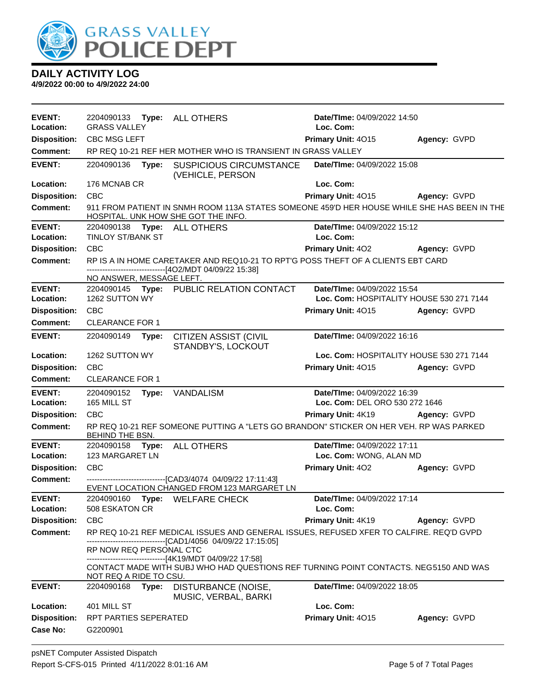

| <b>EVENT:</b><br>Location: | 2204090133 Type: ALL OTHERS<br><b>GRASS VALLEY</b>                                                                                 |                                                                                                                                            | Date/TIme: 04/09/2022 14:50<br>Loc. Com: |                         |  |
|----------------------------|------------------------------------------------------------------------------------------------------------------------------------|--------------------------------------------------------------------------------------------------------------------------------------------|------------------------------------------|-------------------------|--|
| <b>Disposition:</b>        | <b>CBC MSG LEFT</b>                                                                                                                |                                                                                                                                            | Primary Unit: 4015                       | Agency: GVPD            |  |
| <b>Comment:</b>            | RP REQ 10-21 REF HER MOTHER WHO IS TRANSIENT IN GRASS VALLEY                                                                       |                                                                                                                                            |                                          |                         |  |
|                            |                                                                                                                                    |                                                                                                                                            |                                          |                         |  |
| <b>EVENT:</b>              | 2204090136<br>Type:                                                                                                                | <b>SUSPICIOUS CIRCUMSTANCE</b><br>(VEHICLE, PERSON                                                                                         | Date/TIme: 04/09/2022 15:08              |                         |  |
| Location:                  | 176 MCNAB CR                                                                                                                       |                                                                                                                                            | Loc. Com:                                |                         |  |
| <b>Disposition:</b>        | <b>CBC</b>                                                                                                                         |                                                                                                                                            | Primary Unit: 4015                       | Agency: GVPD            |  |
| <b>Comment:</b>            | 911 FROM PATIENT IN SNMH ROOM 113A STATES SOMEONE 459'D HER HOUSE WHILE SHE HAS BEEN IN THE<br>HOSPITAL. UNK HOW SHE GOT THE INFO. |                                                                                                                                            |                                          |                         |  |
| <b>EVENT:</b>              | 2204090138 Type: ALL OTHERS                                                                                                        |                                                                                                                                            | Date/TIme: 04/09/2022 15:12              |                         |  |
| Location:                  | <b>TINLOY ST/BANK ST</b>                                                                                                           |                                                                                                                                            | Loc. Com:                                |                         |  |
| <b>Disposition:</b>        | CBC                                                                                                                                |                                                                                                                                            | <b>Primary Unit: 402</b>                 | Agency: GVPD            |  |
| <b>Comment:</b>            |                                                                                                                                    | RP IS A IN HOME CARETAKER AND REQ10-21 TO RPT'G POSS THEFT OF A CLIENTS EBT CARD<br>------------------------------[4O2/MDT 04/09/22 15:38] |                                          |                         |  |
|                            | NO ANSWER, MESSAGE LEFT.                                                                                                           |                                                                                                                                            |                                          |                         |  |
| <b>EVENT:</b>              |                                                                                                                                    | 2204090145 Type: PUBLIC RELATION CONTACT                                                                                                   | Date/TIme: 04/09/2022 15:54              |                         |  |
| Location:                  | 1262 SUTTON WY                                                                                                                     |                                                                                                                                            | Loc. Com: HOSPITALITY HOUSE 530 271 7144 |                         |  |
| <b>Disposition:</b>        | <b>CBC</b>                                                                                                                         |                                                                                                                                            | Primary Unit: 4015                       | Agency: GVPD            |  |
| <b>Comment:</b>            | <b>CLEARANCE FOR 1</b>                                                                                                             |                                                                                                                                            |                                          |                         |  |
| <b>EVENT:</b>              | 2204090149<br>Type:                                                                                                                | <b>CITIZEN ASSIST (CIVIL</b><br>STANDBY'S, LOCKOUT                                                                                         | Date/TIme: 04/09/2022 16:16              |                         |  |
| Location:                  | 1262 SUTTON WY                                                                                                                     |                                                                                                                                            | Loc. Com: HOSPITALITY HOUSE 530 271 7144 |                         |  |
| <b>Disposition:</b>        | <b>CBC</b>                                                                                                                         |                                                                                                                                            | Primary Unit: 4015                       | Agency: GVPD            |  |
| <b>Comment:</b>            | <b>CLEARANCE FOR 1</b>                                                                                                             |                                                                                                                                            |                                          |                         |  |
| <b>EVENT:</b>              | Date/TIme: 04/09/2022 16:39<br>2204090152<br>Type:<br><b>VANDALISM</b>                                                             |                                                                                                                                            |                                          |                         |  |
| Location:                  | 165 MILL ST                                                                                                                        |                                                                                                                                            | Loc. Com: DEL ORO 530 272 1646           |                         |  |
| <b>Disposition:</b>        | CBC                                                                                                                                |                                                                                                                                            | Primary Unit: 4K19                       | Agency: GVPD            |  |
| <b>Comment:</b>            | RP REQ 10-21 REF SOMEONE PUTTING A "LETS GO BRANDON" STICKER ON HER VEH. RP WAS PARKED<br>BEHIND THE BSN.                          |                                                                                                                                            |                                          |                         |  |
| <b>EVENT:</b>              | 2204090158<br>Type:                                                                                                                | <b>ALL OTHERS</b>                                                                                                                          | Date/TIme: 04/09/2022 17:11              |                         |  |
| Location:                  | 123 MARGARET LN                                                                                                                    |                                                                                                                                            |                                          | Loc. Com: WONG, ALAN MD |  |
| <b>Disposition:</b>        | <b>CBC</b>                                                                                                                         |                                                                                                                                            | Primary Unit: 402                        | Agency: GVPD            |  |
| <b>Comment:</b>            |                                                                                                                                    | --------------------------------[CAD3/4074 04/09/22 17:11:43]<br>EVENT LOCATION CHANGED FROM 123 MARGARET LN                               |                                          |                         |  |
| <b>EVENT:</b>              |                                                                                                                                    | 2204090160 Type: WELFARE CHECK                                                                                                             | Date/TIme: 04/09/2022 17:14              |                         |  |
| Location:                  | 508 ESKATON CR<br>Loc. Com:                                                                                                        |                                                                                                                                            |                                          |                         |  |
| <b>Disposition:</b>        | <b>CBC</b>                                                                                                                         |                                                                                                                                            | Primary Unit: 4K19                       | Agency: GVPD            |  |
| <b>Comment:</b>            |                                                                                                                                    | RP REQ 10-21 REF MEDICAL ISSUES AND GENERAL ISSUES, REFUSED XFER TO CALFIRE. REQ'D GVPD                                                    |                                          |                         |  |
|                            | --------------------------------[CAD1/4056 04/09/22 17:15:05]                                                                      |                                                                                                                                            |                                          |                         |  |
|                            | RP NOW REQ PERSONAL CTC                                                                                                            | -------------------------------[4K19/MDT 04/09/22 17:58]                                                                                   |                                          |                         |  |
|                            | NOT REQ A RIDE TO CSU.                                                                                                             | CONTACT MADE WITH SUBJ WHO HAD QUESTIONS REF TURNING POINT CONTACTS. NEG5150 AND WAS                                                       |                                          |                         |  |
| <b>EVENT:</b>              | 2204090168<br>Type:                                                                                                                | DISTURBANCE (NOISE,<br>MUSIC, VERBAL, BARKI                                                                                                | Date/TIme: 04/09/2022 18:05              |                         |  |
| Location:                  | 401 MILL ST                                                                                                                        |                                                                                                                                            | Loc. Com:                                |                         |  |
| <b>Disposition:</b>        | RPT PARTIES SEPERATED                                                                                                              |                                                                                                                                            | Primary Unit: 4015                       | Agency: GVPD            |  |
| <b>Case No:</b>            | G2200901                                                                                                                           |                                                                                                                                            |                                          |                         |  |
|                            |                                                                                                                                    |                                                                                                                                            |                                          |                         |  |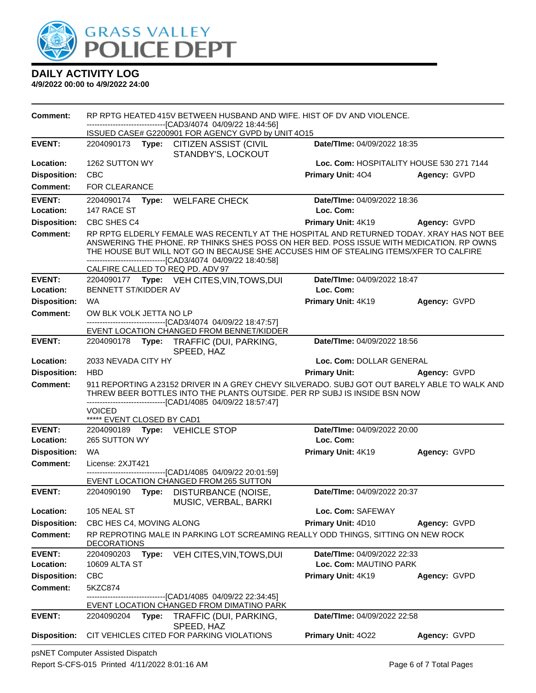

**4/9/2022 00:00 to 4/9/2022 24:00**

**Comment:** RP RPTG HEATED 415V BETWEEN HUSBAND AND WIFE. HIST OF DV AND VIOLENCE. ------------------------------[CAD3/4074 04/09/22 18:44:56] ISSUED CASE# G2200901 FOR AGENCY GVPD by UNIT 4O15 **EVENT:** 2204090173 **Type:** CITIZEN ASSIST (CIVIL STANDBY'S, LOCKOUT **Date/TIme:** 04/09/2022 18:35 **Location:** 1262 SUTTON WY **Loc. Com:** HOSPITALITY HOUSE 530 271 7144 **Disposition:** CBC **Primary Unit:** 4O4 **Agency:** GVPD **Comment:** FOR CLEARANCE **EVENT:** 2204090174 **Type:** WELFARE CHECK **Date/TIme:** 04/09/2022 18:36 **Location:** 147 RACE ST **Loc. Com: Disposition:** CBC SHES C4 **Primary Unit:** 4K19 **Agency:** GVPD Comment: RP RPTG ELDERLY FEMALE WAS RECENTLY AT THE HOSPITAL AND RETURNED TODAY. XRAY HAS NOT BEE ANSWERING THE PHONE. RP THINKS SHES POSS ON HER BED. POSS ISSUE WITH MEDICATION. RP OWNS THE HOUSE BUT WILL NOT GO IN BECAUSE SHE ACCUSES HIM OF STEALING ITEMS/XFER TO CALFIRE ------------------------------[CAD3/4074 04/09/22 18:40:58] CALFIRE CALLED TO REQ PD. ADV 97 **EVENT:** 2204090177 **Type:** VEH CITES,VIN,TOWS,DUI **Date/TIme:** 04/09/2022 18:47 **Location:** BENNETT ST/KIDDER AV **Loc. Com: Disposition:** WA **Primary Unit:** 4K19 **Agency:** GVPD **Comment:** OW BLK VOLK JETTA NO LP ------------------------------[CAD3/4074 04/09/22 18:47:57] EVENT LOCATION CHANGED FROM BENNET/KIDDER **EVENT:** 2204090178 **Type:** TRAFFIC (DUI, PARKING, SPEED, HAZ **Date/TIme:** 04/09/2022 18:56 **Location:** 2033 NEVADA CITY HY **Loc. Com:** DOLLAR GENERAL **Disposition:** HBD **Primary Unit: Agency:** GVPD **Comment:** 911 REPORTING A 23152 DRIVER IN A GREY CHEVY SILVERADO. SUBJ GOT OUT BARELY ABLE TO WALK AND THREW BEER BOTTLES INTO THE PLANTS OUTSIDE. PER RP SUBJ IS INSIDE BSN NOW ------------------------------[CAD1/4085 04/09/22 18:57:47] VOICED \*\*\*\*\* EVENT CLOSED BY CAD1 **EVENT:** 2204090189 **Type:** VEHICLE STOP **Date/TIme:** 04/09/2022 20:00 **Location:** 265 SUTTON WY **Loc. Com: Disposition:** WA **Primary Unit:** 4K19 **Agency:** GVPD **Comment:** License: 2XJT421 ------------------------------[CAD1/4085 04/09/22 20:01:59] EVENT LOCATION CHANGED FROM 265 SUTTON **EVENT:** 2204090190 **Type:** DISTURBANCE (NOISE, MUSIC, VERBAL, BARKI **Date/TIme:** 04/09/2022 20:37 **Location:** 105 NEAL ST **Loc. Com:** SAFEWAY **Disposition:** CBC HES C4, MOVING ALONG **Primary Unit:** 4D10 **Agency:** GVPD **Comment:** RP REPROTING MALE IN PARKING LOT SCREAMING REALLY ODD THINGS, SITTING ON NEW ROCK **DECORATIONS EVENT:** 2204090203 **Type:** VEH CITES,VIN,TOWS,DUI **Date/TIme:** 04/09/2022 22:33 **Location:** 10609 ALTA ST **Loc. Com:** MAUTINO PARK **Disposition:** CBC **Primary Unit:** 4K19 **Agency:** GVPD **Comment:** 5KZC874 ----[CAD1/4085 04/09/22 22:34:45] EVENT LOCATION CHANGED FROM DIMATINO PARK **EVENT:** 2204090204 **Type:** TRAFFIC (DUI, PARKING, SPEED, HAZ **Date/TIme:** 04/09/2022 22:58 **Disposition:** CIT VEHICLES CITED FOR PARKING VIOLATIONS **Primary Unit:** 4O22 **Agency:** GVPD

psNET Computer Assisted Dispatch Report S-CFS-015 Printed 4/11/2022 8:01:16 AM Page 6 of 7 Total Pages